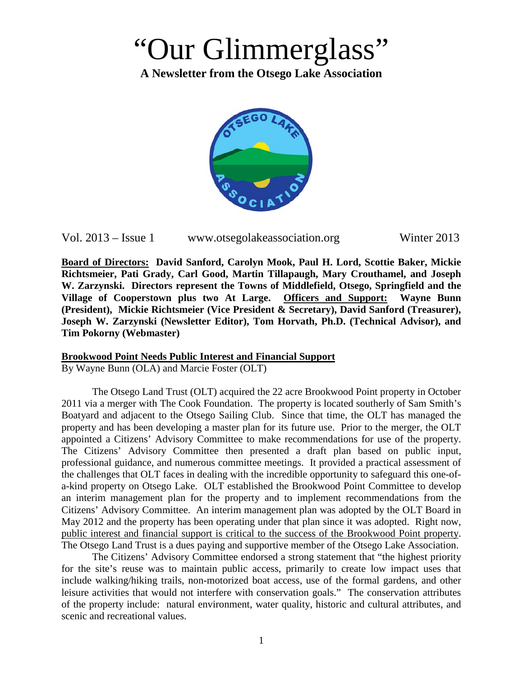# "Our Glimmerglass"

**A Newsletter from the Otsego Lake Association**



Vol. 2013 – Issue 1 www.otsegolakeassociation.org Winter 2013

**Board of Directors: David Sanford, Carolyn Mook, Paul H. Lord, Scottie Baker, Mickie Richtsmeier, Pati Grady, Carl Good, Martin Tillapaugh, Mary Crouthamel, and Joseph W. Zarzynski. Directors represent the Towns of Middlefield, Otsego, Springfield and the Village of Cooperstown plus two At Large. Officers and Support: Wayne Bunn (President), Mickie Richtsmeier (Vice President & Secretary), David Sanford (Treasurer), Joseph W. Zarzynski (Newsletter Editor), Tom Horvath, Ph.D. (Technical Advisor), and Tim Pokorny (Webmaster)**

### **Brookwood Point Needs Public Interest and Financial Support**

By Wayne Bunn (OLA) and Marcie Foster (OLT)

The Otsego Land Trust (OLT) acquired the 22 acre Brookwood Point property in October 2011 via a merger with The Cook Foundation. The property is located southerly of Sam Smith's Boatyard and adjacent to the Otsego Sailing Club. Since that time, the OLT has managed the property and has been developing a master plan for its future use. Prior to the merger, the OLT appointed a Citizens' Advisory Committee to make recommendations for use of the property. The Citizens' Advisory Committee then presented a draft plan based on public input, professional guidance, and numerous committee meetings. It provided a practical assessment of the challenges that OLT faces in dealing with the incredible opportunity to safeguard this one-ofa-kind property on Otsego Lake. OLT established the Brookwood Point Committee to develop an interim management plan for the property and to implement recommendations from the Citizens' Advisory Committee. An interim management plan was adopted by the OLT Board in May 2012 and the property has been operating under that plan since it was adopted. Right now, public interest and financial support is critical to the success of the Brookwood Point property. The Otsego Land Trust is a dues paying and supportive member of the Otsego Lake Association.

The Citizens' Advisory Committee endorsed a strong statement that "the highest priority for the site's reuse was to maintain public access, primarily to create low impact uses that include walking/hiking trails, non-motorized boat access, use of the formal gardens, and other leisure activities that would not interfere with conservation goals." The conservation attributes of the property include: natural environment, water quality, historic and cultural attributes, and scenic and recreational values.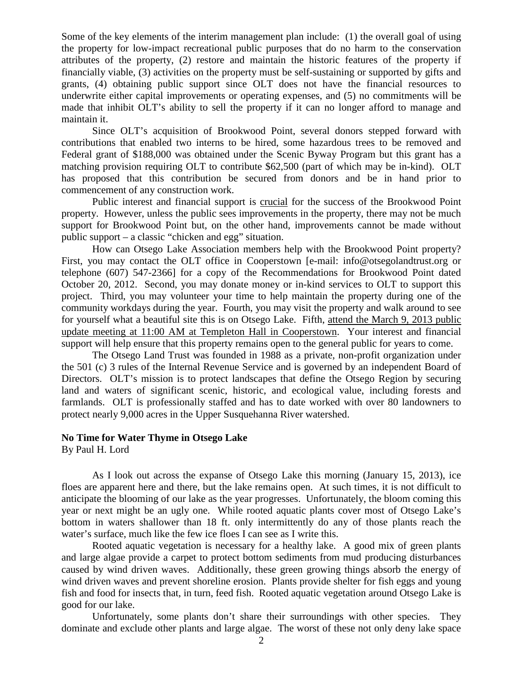Some of the key elements of the interim management plan include: (1) the overall goal of using the property for low-impact recreational public purposes that do no harm to the conservation attributes of the property, (2) restore and maintain the historic features of the property if financially viable, (3) activities on the property must be self-sustaining or supported by gifts and grants, (4) obtaining public support since OLT does not have the financial resources to underwrite either capital improvements or operating expenses, and (5) no commitments will be made that inhibit OLT's ability to sell the property if it can no longer afford to manage and maintain it.

Since OLT's acquisition of Brookwood Point, several donors stepped forward with contributions that enabled two interns to be hired, some hazardous trees to be removed and Federal grant of \$188,000 was obtained under the Scenic Byway Program but this grant has a matching provision requiring OLT to contribute \$62,500 (part of which may be in-kind). OLT has proposed that this contribution be secured from donors and be in hand prior to commencement of any construction work.

Public interest and financial support is crucial for the success of the Brookwood Point property. However, unless the public sees improvements in the property, there may not be much support for Brookwood Point but, on the other hand, improvements cannot be made without public support – a classic "chicken and egg" situation.

How can Otsego Lake Association members help with the Brookwood Point property? First, you may contact the OLT office in Cooperstown [e-mail: info@otsegolandtrust.org or telephone (607) 547-2366] for a copy of the Recommendations for Brookwood Point dated October 20, 2012. Second, you may donate money or in-kind services to OLT to support this project. Third, you may volunteer your time to help maintain the property during one of the community workdays during the year. Fourth, you may visit the property and walk around to see for yourself what a beautiful site this is on Otsego Lake. Fifth, attend the March 9, 2013 public update meeting at 11:00 AM at Templeton Hall in Cooperstown. Your interest and financial support will help ensure that this property remains open to the general public for years to come.

The Otsego Land Trust was founded in 1988 as a private, non-profit organization under the 501 (c) 3 rules of the Internal Revenue Service and is governed by an independent Board of Directors. OLT's mission is to protect landscapes that define the Otsego Region by securing land and waters of significant scenic, historic, and ecological value, including forests and farmlands. OLT is professionally staffed and has to date worked with over 80 landowners to protect nearly 9,000 acres in the Upper Susquehanna River watershed.

### **No Time for Water Thyme in Otsego Lake**

By Paul H. Lord

As I look out across the expanse of Otsego Lake this morning (January 15, 2013), ice floes are apparent here and there, but the lake remains open. At such times, it is not difficult to anticipate the blooming of our lake as the year progresses. Unfortunately, the bloom coming this year or next might be an ugly one. While rooted aquatic plants cover most of Otsego Lake's bottom in waters shallower than 18 ft. only intermittently do any of those plants reach the water's surface, much like the few ice floes I can see as I write this.

Rooted aquatic vegetation is necessary for a healthy lake. A good mix of green plants and large algae provide a carpet to protect bottom sediments from mud producing disturbances caused by wind driven waves. Additionally, these green growing things absorb the energy of wind driven waves and prevent shoreline erosion. Plants provide shelter for fish eggs and young fish and food for insects that, in turn, feed fish. Rooted aquatic vegetation around Otsego Lake is good for our lake.

Unfortunately, some plants don't share their surroundings with other species. They dominate and exclude other plants and large algae. The worst of these not only deny lake space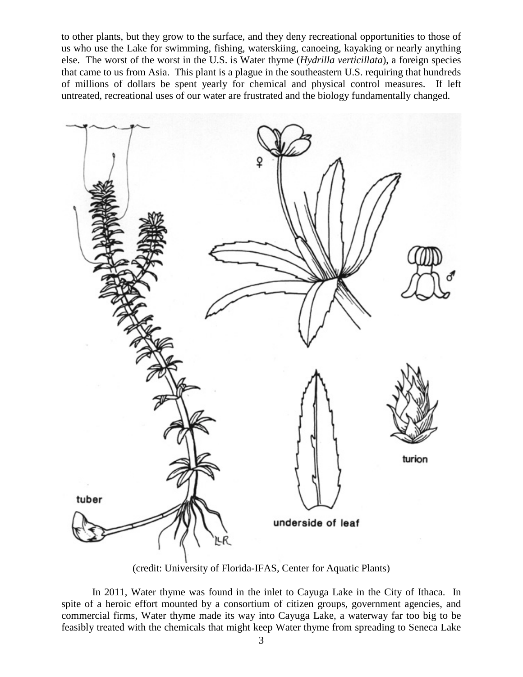to other plants, but they grow to the surface, and they deny recreational opportunities to those of us who use the Lake for swimming, fishing, waterskiing, canoeing, kayaking or nearly anything else. The worst of the worst in the U.S. is Water thyme (*Hydrilla verticillata*), a foreign species that came to us from Asia. This plant is a plague in the southeastern U.S. requiring that hundreds of millions of dollars be spent yearly for chemical and physical control measures. If left untreated, recreational uses of our water are frustrated and the biology fundamentally changed.



(credit: University of Florida-IFAS, Center for Aquatic Plants)

In 2011, Water thyme was found in the inlet to Cayuga Lake in the City of Ithaca. In spite of a heroic effort mounted by a consortium of citizen groups, government agencies, and commercial firms, Water thyme made its way into Cayuga Lake, a waterway far too big to be feasibly treated with the chemicals that might keep Water thyme from spreading to Seneca Lake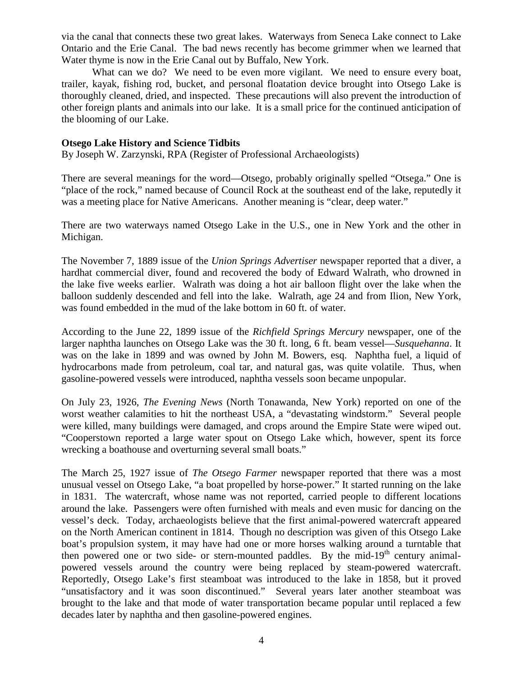via the canal that connects these two great lakes. Waterways from Seneca Lake connect to Lake Ontario and the Erie Canal. The bad news recently has become grimmer when we learned that Water thyme is now in the Erie Canal out by Buffalo, New York.

What can we do? We need to be even more vigilant. We need to ensure every boat, trailer, kayak, fishing rod, bucket, and personal floatation device brought into Otsego Lake is thoroughly cleaned, dried, and inspected. These precautions will also prevent the introduction of other foreign plants and animals into our lake. It is a small price for the continued anticipation of the blooming of our Lake.

#### **Otsego Lake History and Science Tidbits**

By Joseph W. Zarzynski, RPA (Register of Professional Archaeologists)

There are several meanings for the word—Otsego, probably originally spelled "Otsega." One is "place of the rock," named because of Council Rock at the southeast end of the lake, reputedly it was a meeting place for Native Americans. Another meaning is "clear, deep water."

There are two waterways named Otsego Lake in the U.S., one in New York and the other in Michigan.

The November 7, 1889 issue of the *Union Springs Advertiser* newspaper reported that a diver, a hardhat commercial diver, found and recovered the body of Edward Walrath, who drowned in the lake five weeks earlier. Walrath was doing a hot air balloon flight over the lake when the balloon suddenly descended and fell into the lake. Walrath, age 24 and from Ilion, New York, was found embedded in the mud of the lake bottom in 60 ft. of water.

According to the June 22, 1899 issue of the *Richfield Springs Mercury* newspaper, one of the larger naphtha launches on Otsego Lake was the 30 ft. long, 6 ft. beam vessel—*Susquehanna*. It was on the lake in 1899 and was owned by John M. Bowers, esq. Naphtha fuel, a liquid of hydrocarbons made from petroleum, coal tar, and natural gas, was quite volatile. Thus, when gasoline-powered vessels were introduced, naphtha vessels soon became unpopular.

On July 23, 1926, *The Evening News* (North Tonawanda, New York) reported on one of the worst weather calamities to hit the northeast USA, a "devastating windstorm." Several people were killed, many buildings were damaged, and crops around the Empire State were wiped out. "Cooperstown reported a large water spout on Otsego Lake which, however, spent its force wrecking a boathouse and overturning several small boats."

The March 25, 1927 issue of *The Otsego Farmer* newspaper reported that there was a most unusual vessel on Otsego Lake, "a boat propelled by horse-power." It started running on the lake in 1831. The watercraft, whose name was not reported, carried people to different locations around the lake. Passengers were often furnished with meals and even music for dancing on the vessel's deck. Today, archaeologists believe that the first animal-powered watercraft appeared on the North American continent in 1814. Though no description was given of this Otsego Lake boat's propulsion system, it may have had one or more horses walking around a turntable that then powered one or two side- or stern-mounted paddles. By the mid-19<sup>th</sup> century animalpowered vessels around the country were being replaced by steam-powered watercraft. Reportedly, Otsego Lake's first steamboat was introduced to the lake in 1858, but it proved "unsatisfactory and it was soon discontinued." Several years later another steamboat was brought to the lake and that mode of water transportation became popular until replaced a few decades later by naphtha and then gasoline-powered engines.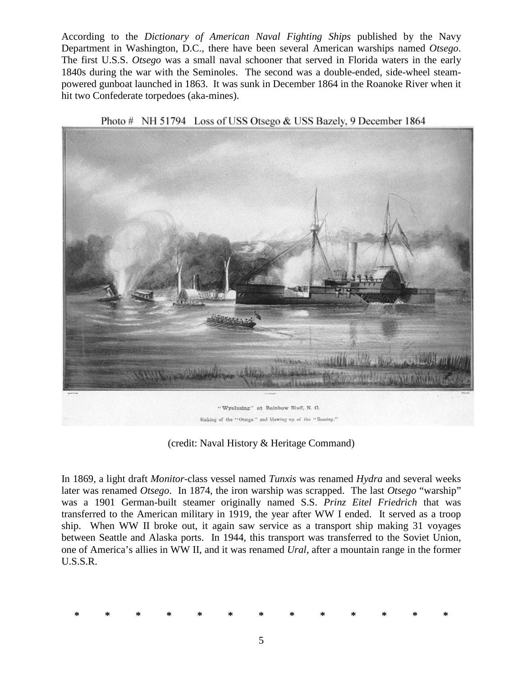According to the *Dictionary of American Naval Fighting Ships* published by the Navy Department in Washington, D.C., there have been several American warships named *Otsego*. The first U.S.S. *Otsego* was a small naval schooner that served in Florida waters in the early 1840s during the war with the Seminoles. The second was a double-ended, side-wheel steampowered gunboat launched in 1863. It was sunk in December 1864 in the Roanoke River when it hit two Confederate torpedoes (aka-mines).



Photo # NH 51794 Loss of USS Otsego & USS Bazely, 9 December 1864

(credit: Naval History & Heritage Command)

In 1869, a light draft *Monitor*-class vessel named *Tunxis* was renamed *Hydra* and several weeks later was renamed *Otsego*. In 1874, the iron warship was scrapped. The last *Otsego* "warship" was a 1901 German-built steamer originally named S.S. *Prinz Eitel Friedrich* that was transferred to the American military in 1919, the year after WW I ended. It served as a troop ship. When WW II broke out, it again saw service as a transport ship making 31 voyages between Seattle and Alaska ports. In 1944, this transport was transferred to the Soviet Union, one of America's allies in WW II, and it was renamed *Ural*, after a mountain range in the former U.S.S.R.

|  |  |  |  |  | * * * * * * * * * * * * * |  |
|--|--|--|--|--|---------------------------|--|
|  |  |  |  |  |                           |  |